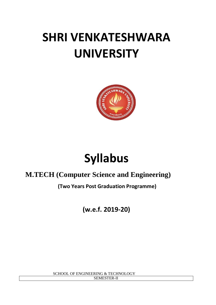# **SHRI VENKATESHWARA UNIVERSITY**



# **Syllabus**

# **M.TECH (Computer Science and Engineering)**

**(Two Years Post Graduation Programme)**

**(w.e.f. 2019-20)**

 SCHOOL OF ENGINEERING & TECHNOLOGY SEMESTER-II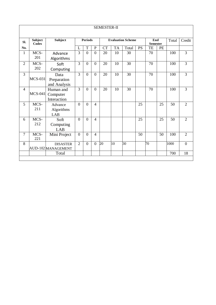| <b>SEMESTER-II</b> |                                |                                       |                                            |                |                  |                        |           |                 |           |                 |           |      |                |
|--------------------|--------------------------------|---------------------------------------|--------------------------------------------|----------------|------------------|------------------------|-----------|-----------------|-----------|-----------------|-----------|------|----------------|
| Sl.                | <b>Subject</b><br><b>Codes</b> | Subject                               | <b>Periods</b><br><b>Evaluation Scheme</b> |                |                  | End<br><b>Semester</b> |           | Total           | Credit    |                 |           |      |                |
| No.                |                                |                                       | L                                          | T              | ${\bf P}$        | <b>CT</b>              | <b>TA</b> | Total           | <b>PS</b> | TE              | <b>PE</b> |      |                |
| $\mathbf{1}$       | MCS-<br>201                    | Advance<br>Algorithms                 | 3                                          | $\overline{0}$ | $\overline{0}$   | 20                     | 10        | 30              |           | 70              |           | 100  | $\overline{3}$ |
| $\overline{2}$     | MCS-<br>202                    | Soft<br>Computing                     | $\overline{3}$                             | $\overline{0}$ | $\boldsymbol{0}$ | 20                     | 10        | 30              |           | $\overline{70}$ |           | 100  | $\overline{3}$ |
| 3                  | <b>MCS-031</b>                 | Data<br>Preparation<br>and Analysis   | $\overline{3}$                             | $\overline{0}$ | $\boldsymbol{0}$ | 20                     | 10        | 30              |           | 70              |           | 100  | $\overline{3}$ |
| $\overline{4}$     | $MCS-041$                      | Human and<br>Computer<br>Interaction  | 3                                          | $\overline{0}$ | $\overline{0}$   | 20                     | 10        | 30              |           | 70              |           | 100  | 3              |
| 5                  | MCS-<br>211                    | Advance<br>Algorithms<br>LAB          | $\overline{0}$                             | $\overline{0}$ | $\overline{4}$   |                        |           |                 | 25        |                 | 25        | 50   | $\overline{2}$ |
| 6                  | MCS-<br>212                    | Soft<br>Computing<br>LAB              | $\theta$                                   | $\theta$       | $\overline{4}$   |                        |           |                 | 25        |                 | 25        | 50   | $\overline{2}$ |
| $\overline{7}$     | MCS-<br>221                    | Mini Project                          | $\mathbf{0}$                               | $\overline{0}$ | $\overline{4}$   |                        |           |                 | 50        |                 | 50        | 100  | $\overline{2}$ |
| 8                  |                                | <b>DISASTER</b><br>AUD-102 MANAGEMENT | $\overline{2}$                             | $\overline{0}$ | $\overline{0}$   | 20                     | 10        | $\overline{30}$ |           | 70              |           | 1000 | $\overline{0}$ |
|                    |                                | Total                                 |                                            |                |                  |                        |           |                 |           |                 |           | 700  | 18             |
|                    |                                |                                       |                                            |                |                  |                        |           |                 |           |                 |           |      |                |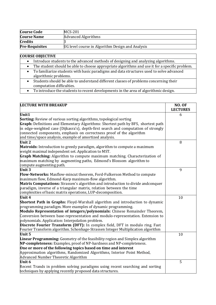| <b>Course Code</b>    | MCS-201                                          |
|-----------------------|--------------------------------------------------|
| <b>Course Name</b>    | <b>Advanced Algorithms</b>                       |
| <b>Credits</b>        |                                                  |
| <b>Pre-Requisites</b> | UG level course in Algorithm Design and Analysis |

# **COURSE OBJECTIVE**

|  | Introduce students to the advanced methods of designing and analyzing algorithms. |  |  |
|--|-----------------------------------------------------------------------------------|--|--|
|--|-----------------------------------------------------------------------------------|--|--|

- The student should be able to choose appropriate algorithms and use it for a specific problem.
- To familiarize students with basic paradigms and data structures used to solve advanced algorithmic problems.
- Students should be able to understand different classes of problems concerning their computation difficulties.
	- To introduce the students to recent developments in the area of algorithmic design.

| <b>LECTURE WITH BREAKUP</b>                                                                                                     | <b>NO. OF</b><br><b>LECTURES</b> |
|---------------------------------------------------------------------------------------------------------------------------------|----------------------------------|
| Unit $\overline{1}$                                                                                                             | 6                                |
| <b>Sorting:</b> Review of various sorting algorithms, topological sorting                                                       |                                  |
| Graph: Definitions and Elementary Algorithms: Shortest path by BFS, shortest path                                               |                                  |
| in edge-weighted case (Dijkasra's), depth-first search and computation of strongly                                              |                                  |
| connected components, emphasis on correctness proof of the algorithm<br>and time/space analysis, example of amortized analysis. |                                  |
| Unit 2                                                                                                                          | 8                                |
| Matroids: Introduction to greedy paradigm, algorithm to compute a maximum                                                       |                                  |
| weight maximal independent set. Application to MST.                                                                             |                                  |
| <b>Graph Matching:</b> Algorithm to compute maximum matching. Characterization of                                               |                                  |
| maximum matching by augmenting paths, Edmond's Blossom algorithm to                                                             |                                  |
| compute augmenting path.<br>Unit 3                                                                                              | 9                                |
| Flow-Networks: Maxflow-mincut theorem, Ford-Fulkerson Method to compute                                                         |                                  |
| maximum flow, Edmond-Karp maximum-flow algorithm.                                                                               |                                  |
| <b>Matrix Computations:</b> Strassen's algorithm and introduction to divide andconquer                                          |                                  |
| paradigm, inverse of a triangular matrix, relation between the time                                                             |                                  |
| complexities of basic matrix operations, LUP-decomposition.                                                                     |                                  |
| Unit 4                                                                                                                          | 10                               |
| <b>Shortest Path in Graphs:</b> Floyd-Warshall algorithm and introduction to dynamic                                            |                                  |
| programming paradigm. More examples of dynamic programming.                                                                     |                                  |
| Modulo Representation of integers/polynomials: Chinese Remainder Theorem,                                                       |                                  |
| Conversion between base-representation and modulo-representation. Extension to                                                  |                                  |
| polynomials. Application: Interpolation problem.                                                                                |                                  |
| Discrete Fourier Transform (DFT): In complex field, DFT in modulo ring. Fast                                                    |                                  |
| Fourier Transform algorithm. Schonhage-Strassen Integer Multiplication algorithm<br>Unit 5                                      | 10                               |
| <b>Linear Programming:</b> Geometry of the feasibility region and Simplex algorithm                                             |                                  |
| NP-completeness: Examples, proof of NP-hardness and NP-completeness.                                                            |                                  |
| One or more of the following topics based on time and interest                                                                  |                                  |
| Approximation algorithms, Randomized Algorithms, Interior Point Method,                                                         |                                  |
| Advanced Number Theoretic Algorithm                                                                                             |                                  |
| Unit 6                                                                                                                          | 5                                |
| Recent Trands in problem solving paradigms using recent searching and sorting                                                   |                                  |
| techniques by applying recently proposed data structures.                                                                       |                                  |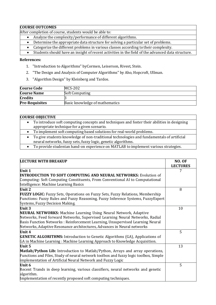## **COURSE OUTCOMES**

After completion of course, students would be able to:

- Analyze the complexity/performance of different algorithms.
- Determine the appropriate data structure for solving a particular set of problems.
- Categorize the different problems in various classes according to their complexity.
- Students should have an insight of recent activities in the field of the advanced data structure.

#### **References:**

- 1. "Introduction to Algorithms" byCormen, Leiserson, Rivest, Stein.
- 2. "The Design and Analysis of Computer Algorithms" by Aho, Hopcroft, Ullman.
- 3. "Algorithm Design" by Kleinberg and Tardos.

| <b>Course Code</b>    | MCS-202                        |
|-----------------------|--------------------------------|
| <b>Course Name</b>    | <b>Soft Computing</b>          |
| <b>Credits</b>        |                                |
| <b>Pre-Requisites</b> | Basic knowledge of mathematics |

#### **COURSE OBJECTIVE**

- To introduce soft computing concepts and techniques and foster their abilities in designing appropriate technique for a given scenario.
- To implement soft computing based solutions for real-world problems.
- To give students knowledge of non-traditional technologies and fundamentals of artificial neural networks, fuzzy sets, fuzzy logic, genetic algorithms.
- To provide studentan hand-on experience on MATLAB to implement various strategies.

| <b>LECTURE WITH BREAKUP</b>                                                                                                                                        | NO. OF<br><b>LECTURES</b> |
|--------------------------------------------------------------------------------------------------------------------------------------------------------------------|---------------------------|
| Unit 1                                                                                                                                                             | 7                         |
| <b>INTRODUCTION TO SOFT COMPUTING AND NEURAL NETWORKS: Evolution of</b>                                                                                            |                           |
| Computing: Soft Computing Constituents, From Conventional AI to Computational<br>Intelligence: Machine Learning Basics                                             |                           |
| Unit 2                                                                                                                                                             | 8                         |
| FUZZY LOGIC: Fuzzy Sets, Operations on Fuzzy Sets, Fuzzy Relations, Membership                                                                                     |                           |
| Functions: Fuzzy Rules and Fuzzy Reasoning, Fuzzy Inference Systems, Fuzzy Expert<br>Systems, Fuzzy Decision Making.                                               |                           |
| Unit 3                                                                                                                                                             | 10                        |
| <b>NEURAL NETWORKS:</b> Machine Learning Using Neural Network, Adaptive                                                                                            |                           |
| Networks, Feed forward Networks, Supervised Learning Neural Networks, Radial                                                                                       |                           |
| Basis Function Networks: Reinforcement Learning, Unsupervised Learning Neural                                                                                      |                           |
| Networks, Adaptive Resonance architectures, Advances in Neural networks                                                                                            |                           |
| Unit 4                                                                                                                                                             | 5                         |
| <b>GENETIC ALGORITHMS:</b> Introduction to Genetic Algorithms (GA), Applications of<br>GA in Machine Learning: Machine Learning Approach to Knowledge Acquisition. |                           |
| Unit 5                                                                                                                                                             | 13                        |
| Matlab/Python Lib: Introduction to Matlab/Python, Arrays and array operations,                                                                                     |                           |
| Functions and Files, Study of neural network toolbox and fuzzy logic toolbox, Simple                                                                               |                           |
| implementation of Artificial Neural Network and Fuzzy Logic                                                                                                        |                           |
| Unit 6                                                                                                                                                             | 5                         |
| Recent Trands in deep learning, various classifiers, neural networks and genetic<br>algorithm.                                                                     |                           |
| Implementation of recently proposed soft computing techniques.                                                                                                     |                           |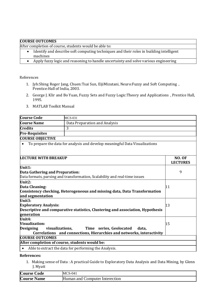#### **COURSE OUTCOMES**

After completion of course, students would be able to:

- Identify and describe soft computing techniques and their roles in building intelligent machines
- Apply fuzzy logic and reasoning to handle uncertainty and solve various engineering

References

- 1. Jyh:Shing Roger Jang, Chuen:Tsai Sun, EijiMizutani, Neuro:Fuzzy and Soft Computing , Prentice:Hall of India, 2003.
- 2. George J. Klir and Bo Yuan, Fuzzy Sets and Fuzzy Logic:Theory and Applications , Prentice Hall, 1995.
- 3. MATLAB Toolkit Manual

| <b>Course Code</b>                             | <b>MCS-031</b>                                                                                            |                                  |
|------------------------------------------------|-----------------------------------------------------------------------------------------------------------|----------------------------------|
| <b>Course Name</b>                             | Data Preparation and Analysis                                                                             |                                  |
| <b>Credits</b>                                 | 3                                                                                                         |                                  |
| <b>Pre-Requisites</b>                          |                                                                                                           |                                  |
| <b>COURSE OBJECTIVE</b>                        |                                                                                                           |                                  |
|                                                | To prepare the data for analysis and develop meaningful Data Visualizations                               |                                  |
| <b>LECTURE WITH BREAKUP</b>                    |                                                                                                           | <b>NO. OF</b><br><b>LECTURES</b> |
| Unit1:<br>Data Gathering and Preparation:      | Data formats, parsing and transformation, Scalability and real-time issues                                | 9                                |
| Unit2:                                         |                                                                                                           |                                  |
| Data Cleaning:                                 |                                                                                                           | 11                               |
| and segmentation                               | Consistency checking, Heterogeneous and missing data, Data Transformation                                 |                                  |
| Unit3:                                         |                                                                                                           |                                  |
| <b>Exploratory Analysis:</b>                   |                                                                                                           | 13                               |
| generation                                     | Descriptive and comparative statistics, Clustering and association, Hypothesis                            |                                  |
| Unit4:                                         |                                                                                                           |                                  |
| <b>Visualization:</b>                          | 15                                                                                                        |                                  |
| <b>Designing</b><br>visualizations,            | Time series, Geolocated<br>data,<br>Correlations and connections, Hierarchies and networks, interactivity |                                  |
| <b>COURSE OUTCOMES</b>                         |                                                                                                           |                                  |
| After completion of course, students would be: |                                                                                                           |                                  |
| $\bullet$                                      | Able to extract the data for performing the Analysis.                                                     |                                  |

# **References:**

1. Making sense of Data : A practical Guide to Exploratory Data Analysis and Data Mining, by Glenn J. Myatt

| <b>Course Code</b>                 | <b>MCS-041</b>                         |
|------------------------------------|----------------------------------------|
| Course <sup>:</sup><br><b>Name</b> | Human and C<br>Computer<br>Interection |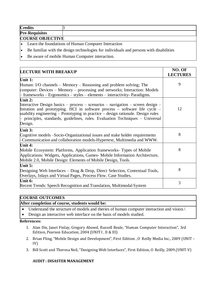| <b>Credits</b>          |  |  |  |  |  |
|-------------------------|--|--|--|--|--|
| <b>Pre-Requisites</b>   |  |  |  |  |  |
| <b>COURSE OBJECTIVE</b> |  |  |  |  |  |

- Learn the foundations of Human Computer Interaction
- Be familiar with the design technologies for individuals and persons with disabilities
- Be aware of mobile Human Computer interaction.

| <b>LECTURE WITH BREAKUP</b>                                                                                                                                                                                                                                                                                                                   | NO. OF<br><b>LECTURES</b> |
|-----------------------------------------------------------------------------------------------------------------------------------------------------------------------------------------------------------------------------------------------------------------------------------------------------------------------------------------------|---------------------------|
| Unit 1:                                                                                                                                                                                                                                                                                                                                       |                           |
| Human: I/O channels – Memory – Reasoning and problem solving; The                                                                                                                                                                                                                                                                             | 9                         |
| computer: Devices – Memory – processing and networks; Interaction: Models                                                                                                                                                                                                                                                                     |                           |
| $\frac{1}{2}$ frameworks – Ergonomics – styles – elements – interactivity- Paradigms.                                                                                                                                                                                                                                                         |                           |
| Unit $2:$                                                                                                                                                                                                                                                                                                                                     |                           |
| Interactive Design basics – process – scenarios – navigation – screen design –<br>Iteration and prototyping. HCI in software process - software life cycle -<br>$\mu$ sability engineering – Prototyping in practice – design rationale. Design rules<br>$\vdash$ principles, standards, guidelines, rules. Evaluation Techniques – Universal | 12                        |
| Design.                                                                                                                                                                                                                                                                                                                                       |                           |
| Unit 3:                                                                                                                                                                                                                                                                                                                                       |                           |
| Cognitive models -Socio-Organizational issues and stake holder requirements<br>Communication and collaboration models-Hypertext, Multimedia and WWW.                                                                                                                                                                                          | 8                         |
| Unit 4:                                                                                                                                                                                                                                                                                                                                       |                           |
| Mobile Ecosystem: Platforms, Application frameworks- Types of Mobile<br>Applications: Widgets, Applications, Games-Mobile Information Architecture,<br>Mobile 2.0, Mobile Design: Elements of Mobile Design, Tools.                                                                                                                           | 8                         |
| Unit 5:                                                                                                                                                                                                                                                                                                                                       |                           |
| Designing Web Interfaces – Drag & Drop, Direct Selection, Contextual Tools,<br>Overlays, Inlays and Virtual Pages, Process Flow. Case Studies.                                                                                                                                                                                                | 8                         |
| Unit 6:                                                                                                                                                                                                                                                                                                                                       | 3                         |
| Recent Trends: Speech Recognition and Translation, Multimodal System                                                                                                                                                                                                                                                                          |                           |

# **COURSE OUTCOMES**

## **After completion of course, students would be:**

- Understand the structure of models and theries of human computer interaction and vision.\
- Design an interactive web interface on the basis of models studied.

#### **References:**

- 1. Alan Dix, Janet Finlay, Gregory Abowd, Russell Beale, "Human Computer Interaction", 3rd Edition, Pearson Education, 2004 (UNIT I , II & III)
- 2. Brian Fling, "Mobile Design and Development", First Edition , O Reilly Media Inc., 2009 (UNIT IV)
- 3. Bill Scott and Theresa Neil, "Designing Web Interfaces", First Edition, O Reilly, 2009.(UNIT-V)

# **AUDIT : DISASTER MANAGEMENT**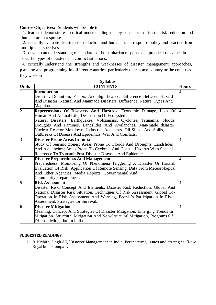**Course Objectives: -**Students will be able to:

1. learn to demonstrate a critical understanding of key concepts in disaster risk reduction and humanitarian response.

2. critically evaluate disaster risk reduction and humanitarian response policy and practice from multiple perspectives.

3. develop an understanding of standards of humanitarian response and practical relevance in specific types of disasters and conflict situations.

4. critically understand the strengths and weaknesses of disaster management approaches, planning and programming in different countries, particularly their home country or the countries they work in

| <b>Syllabus</b> |                                                                                                                                                                                                                                                                                                                                                                                                            |                |  |  |
|-----------------|------------------------------------------------------------------------------------------------------------------------------------------------------------------------------------------------------------------------------------------------------------------------------------------------------------------------------------------------------------------------------------------------------------|----------------|--|--|
| <b>Units</b>    | <b>CONTENTS</b>                                                                                                                                                                                                                                                                                                                                                                                            | <b>Hours</b>   |  |  |
|                 | <b>Introduction</b><br>Disaster: Definition, Factors And Significance; Difference Between Hazard<br>And Disaster; Natural And Manmade Disasters: Difference, Nature, Types And<br>Magnitude.                                                                                                                                                                                                               | $\overline{4}$ |  |  |
| þ               | Repercussions Of Disasters And Hazards: Economic Damage, Loss Of<br>Human And Animal Life, Destruction Of Ecosystem.<br>Natural Disasters: Earthquakes, Volcanisms, Cyclones, Tsunamis, Floods,<br>Droughts And Famines, Landslides And Avalanches, Man-made disaster:<br>Nuclear Reactor Meltdown, Industrial Accidents, Oil Slicks And Spills,<br>Outbreaks Of Disease And Epidemics, War And Conflicts. | $\overline{4}$ |  |  |
| B               | Disaster Prone Areas In India<br>Study Of Seismic Zones; Areas Prone To Floods And Droughts, Landslides<br>And Avalanches; Areas Prone To Cyclonic And Coastal Hazards With Special<br>Reference To Tsunami; Post-Disaster Diseases And Epidemics                                                                                                                                                          | $\overline{4}$ |  |  |
| 4               | <b>Disaster Preparedness And Management</b><br>Preparedness: Monitoring Of Phenomena Triggering A Disaster Or Hazard;<br>Evaluation Of Risk: Application Of Remote Sensing, Data From Meteorological<br>And Other Agencies, Media Reports: Governmental And<br>Community Preparedness.                                                                                                                     | $\overline{4}$ |  |  |
| 5               | <b>Risk Assessment</b><br>Disaster Risk: Concept And Elements, Disaster Risk Reduction, Global And<br>National Disaster Risk Situation. Techniques Of Risk Assessment, Global Co-<br>Operation In Risk Assessment And Warning, People's Participation In Risk<br>Assessment. Strategies for Survival.                                                                                                      | $\overline{4}$ |  |  |
| 6               | <b>Disaster Mitigation</b><br>Meaning, Concept And Strategies Of Disaster Mitigation, Emerging Trends In<br>Mitigation. Structural Mitigation And Non-Structural Mitigation, Programs Of<br>Disaster Mitigation In India.                                                                                                                                                                                  | $\overline{4}$ |  |  |

## **SUGGESTED READINGS:**

1. R. Nishith, Singh AK, "Disaster Management in India: Perspectives, issues and strategies "'New Royal book Company.